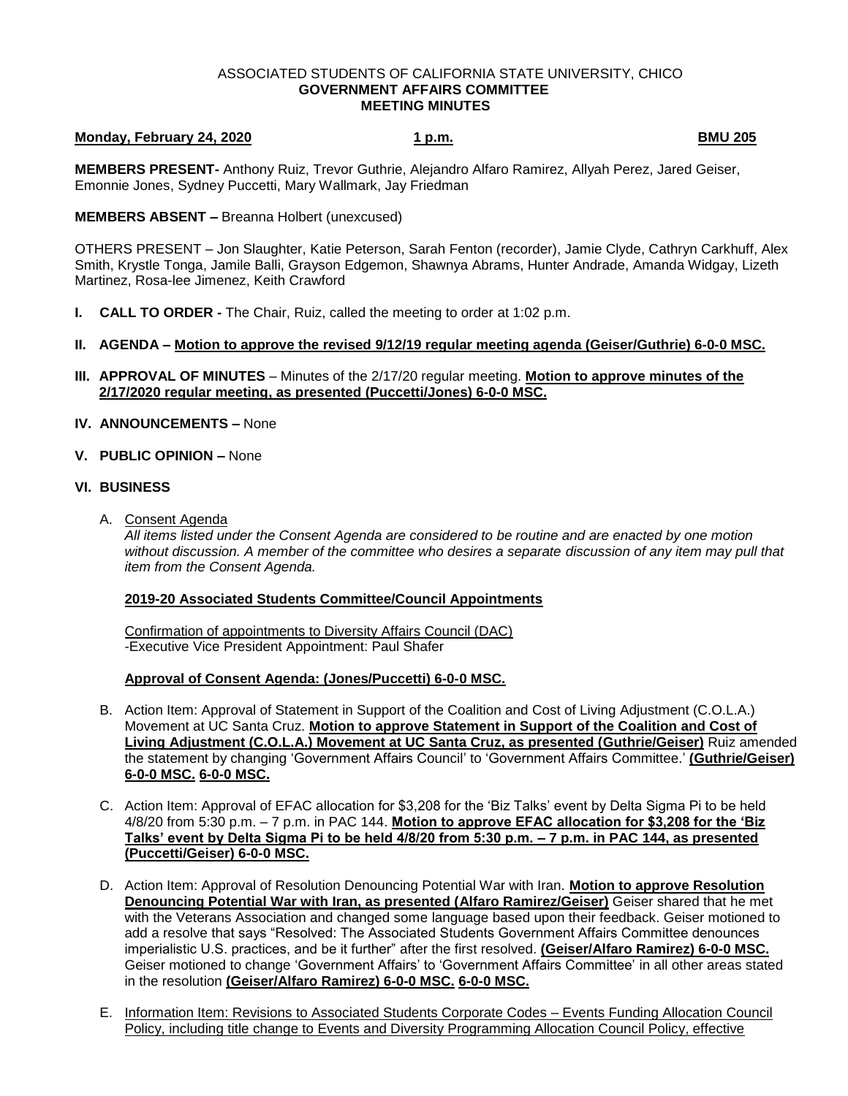#### ASSOCIATED STUDENTS OF CALIFORNIA STATE UNIVERSITY, CHICO **GOVERNMENT AFFAIRS COMMITTEE MEETING MINUTES**

# **Monday, February 24, 2020 1 p.m. BMU 205**

**MEMBERS PRESENT-** Anthony Ruiz, Trevor Guthrie, Alejandro Alfaro Ramirez, Allyah Perez, Jared Geiser, Emonnie Jones, Sydney Puccetti, Mary Wallmark, Jay Friedman

### **MEMBERS ABSENT –** Breanna Holbert (unexcused)

OTHERS PRESENT – Jon Slaughter, Katie Peterson, Sarah Fenton (recorder), Jamie Clyde, Cathryn Carkhuff, Alex Smith, Krystle Tonga, Jamile Balli, Grayson Edgemon, Shawnya Abrams, Hunter Andrade, Amanda Widgay, Lizeth Martinez, Rosa-lee Jimenez, Keith Crawford

- **I. CALL TO ORDER -** The Chair, Ruiz, called the meeting to order at 1:02 p.m.
- **II. AGENDA – Motion to approve the revised 9/12/19 regular meeting agenda (Geiser/Guthrie) 6-0-0 MSC.**
- **III. APPROVAL OF MINUTES** Minutes of the 2/17/20 regular meeting. **Motion to approve minutes of the 2/17/2020 regular meeting, as presented (Puccetti/Jones) 6-0-0 MSC.**
- **IV. ANNOUNCEMENTS –** None
- **V. PUBLIC OPINION –** None

## **VI. BUSINESS**

A. Consent Agenda

*All items listed under the Consent Agenda are considered to be routine and are enacted by one motion without discussion. A member of the committee who desires a separate discussion of any item may pull that item from the Consent Agenda.* 

#### **2019-20 Associated Students Committee/Council Appointments**

Confirmation of appointments to Diversity Affairs Council (DAC) -Executive Vice President Appointment: Paul Shafer

### **Approval of Consent Agenda: (Jones/Puccetti) 6-0-0 MSC.**

- B. Action Item: Approval of Statement in Support of the Coalition and Cost of Living Adjustment (C.O.L.A.) Movement at UC Santa Cruz. **Motion to approve Statement in Support of the Coalition and Cost of Living Adjustment (C.O.L.A.) Movement at UC Santa Cruz, as presented (Guthrie/Geiser)** Ruiz amended the statement by changing 'Government Affairs Council' to 'Government Affairs Committee.' **(Guthrie/Geiser) 6-0-0 MSC. 6-0-0 MSC.**
- C. Action Item: Approval of EFAC allocation for \$3,208 for the 'Biz Talks' event by Delta Sigma Pi to be held 4/8/20 from 5:30 p.m. – 7 p.m. in PAC 144. **Motion to approve EFAC allocation for \$3,208 for the 'Biz Talks' event by Delta Sigma Pi to be held 4/8/20 from 5:30 p.m. – 7 p.m. in PAC 144, as presented (Puccetti/Geiser) 6-0-0 MSC.**
- D. Action Item: Approval of Resolution Denouncing Potential War with Iran. **Motion to approve Resolution Denouncing Potential War with Iran, as presented (Alfaro Ramirez/Geiser)** Geiser shared that he met with the Veterans Association and changed some language based upon their feedback. Geiser motioned to add a resolve that says "Resolved: The Associated Students Government Affairs Committee denounces imperialistic U.S. practices, and be it further" after the first resolved. **(Geiser/Alfaro Ramirez) 6-0-0 MSC.** Geiser motioned to change 'Government Affairs' to 'Government Affairs Committee' in all other areas stated in the resolution **(Geiser/Alfaro Ramirez) 6-0-0 MSC. 6-0-0 MSC.**
- E. Information Item: Revisions to Associated Students Corporate Codes Events Funding Allocation Council Policy, including title change to Events and Diversity Programming Allocation Council Policy, effective